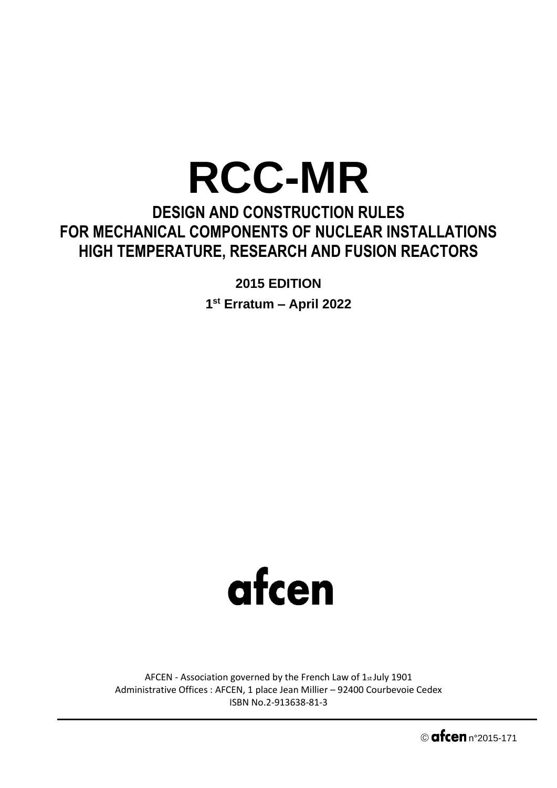## **RCC-MR**

## **DESIGN AND CONSTRUCTION RULES FOR MECHANICAL COMPONENTS OF NUCLEAR INSTALLATIONS HIGH TEMPERATURE, RESEARCH AND FUSION REACTORS**

**2015 EDITION** 

**1 st Erratum – April 2022**



AFCEN - Association governed by the French Law of 1st July 1901 Administrative Offices : AFCEN, 1 place Jean Millier – 92400 Courbevoie Cedex ISBN No.2-913638-81-3

 $\circ$  afcen  $n°2015-171$